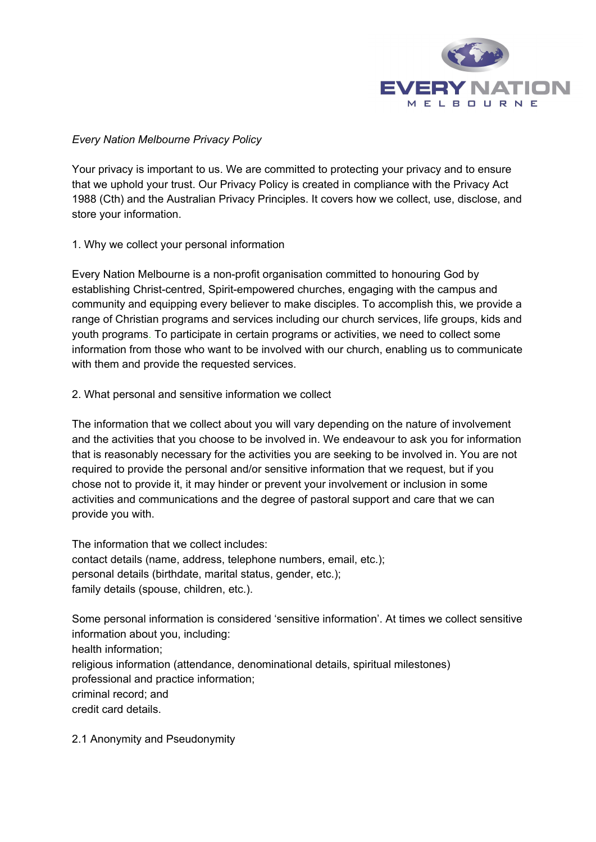

## *Every Nation Melbourne Privacy Policy*

Your privacy is important to us. We are committed to protecting your privacy and to ensure that we uphold your trust. Our Privacy Policy is created in compliance with the Privacy Act 1988 (Cth) and the Australian Privacy Principles. It covers how we collect, use, disclose, and store your information.

1. Why we collect your personal information

Every Nation Melbourne is a non-profit organisation committed to honouring God by establishing Christ-centred, Spirit-empowered churches, engaging with the campus and community and equipping every believer to make disciples. To accomplish this, we provide a range of Christian programs and services including our church services, life groups, kids and youth programs. To participate in certain programs or activities, we need to collect some information from those who want to be involved with our church, enabling us to communicate with them and provide the requested services.

2. What personal and sensitive information we collect

The information that we collect about you will vary depending on the nature of involvement and the activities that you choose to be involved in. We endeavour to ask you for information that is reasonably necessary for the activities you are seeking to be involved in. You are not required to provide the personal and/or sensitive information that we request, but if you chose not to provide it, it may hinder or prevent your involvement or inclusion in some activities and communications and the degree of pastoral support and care that we can provide you with.

The information that we collect includes: contact details (name, address, telephone numbers, email, etc.); personal details (birthdate, marital status, gender, etc.); family details (spouse, children, etc.).

Some personal information is considered 'sensitive information'. At times we collect sensitive information about you, including: health information; religious information (attendance, denominational details, spiritual milestones) professional and practice information; criminal record; and credit card details.

2.1 Anonymity and Pseudonymity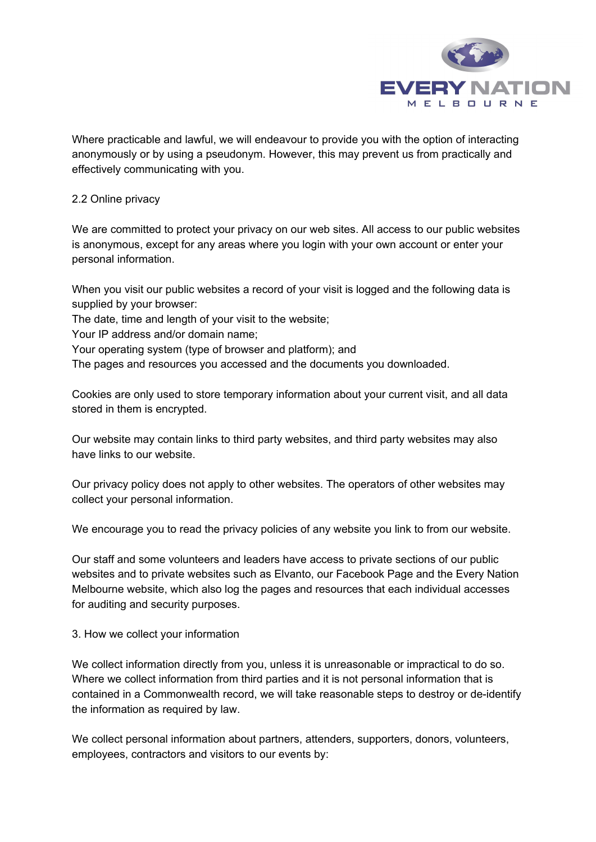

Where practicable and lawful, we will endeavour to provide you with the option of interacting anonymously or by using a pseudonym. However, this may prevent us from practically and effectively communicating with you.

### 2.2 Online privacy

We are committed to protect your privacy on our web sites. All access to our public websites is anonymous, except for any areas where you login with your own account or enter your personal information.

When you visit our public websites a record of your visit is logged and the following data is supplied by your browser:

The date, time and length of your visit to the website;

Your IP address and/or domain name;

Your operating system (type of browser and platform); and

The pages and resources you accessed and the documents you downloaded.

Cookies are only used to store temporary information about your current visit, and all data stored in them is encrypted.

Our website may contain links to third party websites, and third party websites may also have links to our website.

Our privacy policy does not apply to other websites. The operators of other websites may collect your personal information.

We encourage you to read the privacy policies of any website you link to from our website.

Our staff and some volunteers and leaders have access to private sections of our public websites and to private websites such as Elvanto, our Facebook Page and the Every Nation Melbourne website, which also log the pages and resources that each individual accesses for auditing and security purposes.

### 3. How we collect your information

We collect information directly from you, unless it is unreasonable or impractical to do so. Where we collect information from third parties and it is not personal information that is contained in a Commonwealth record, we will take reasonable steps to destroy or de-identify the information as required by law.

We collect personal information about partners, attenders, supporters, donors, volunteers, employees, contractors and visitors to our events by: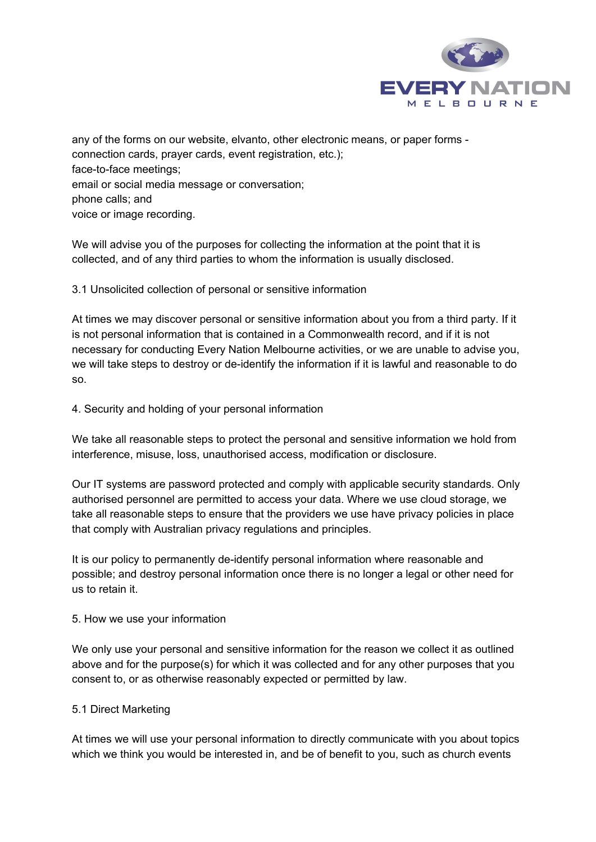

any of the forms on our website, elvanto, other electronic means, or paper forms connection cards, prayer cards, event registration, etc.); face-to-face meetings; email or social media message or conversation; phone calls; and voice or image recording.

We will advise you of the purposes for collecting the information at the point that it is collected, and of any third parties to whom the information is usually disclosed.

3.1 Unsolicited collection of personal or sensitive information

At times we may discover personal or sensitive information about you from a third party. If it is not personal information that is contained in a Commonwealth record, and if it is not necessary for conducting Every Nation Melbourne activities, or we are unable to advise you, we will take steps to destroy or de-identify the information if it is lawful and reasonable to do so.

4. Security and holding of your personal information

We take all reasonable steps to protect the personal and sensitive information we hold from interference, misuse, loss, unauthorised access, modification or disclosure.

Our IT systems are password protected and comply with applicable security standards. Only authorised personnel are permitted to access your data. Where we use cloud storage, we take all reasonable steps to ensure that the providers we use have privacy policies in place that comply with Australian privacy regulations and principles.

It is our policy to permanently de-identify personal information where reasonable and possible; and destroy personal information once there is no longer a legal or other need for us to retain it.

### 5. How we use your information

We only use your personal and sensitive information for the reason we collect it as outlined above and for the purpose(s) for which it was collected and for any other purposes that you consent to, or as otherwise reasonably expected or permitted by law.

# 5.1 Direct Marketing

At times we will use your personal information to directly communicate with you about topics which we think you would be interested in, and be of benefit to you, such as church events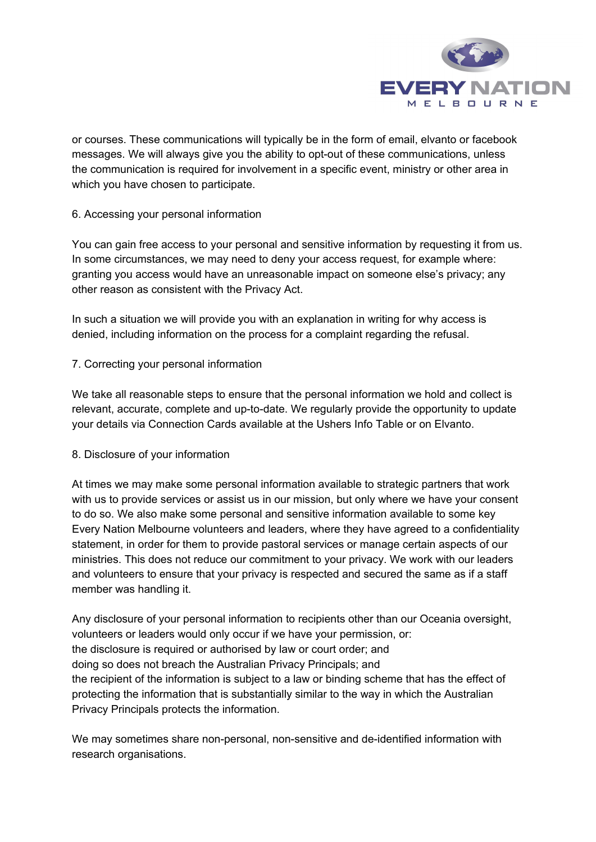

or courses. These communications will typically be in the form of email, elvanto or facebook messages. We will always give you the ability to opt-out of these communications, unless the communication is required for involvement in a specific event, ministry or other area in which you have chosen to participate.

## 6. Accessing your personal information

You can gain free access to your personal and sensitive information by requesting it from us. In some circumstances, we may need to deny your access request, for example where: granting you access would have an unreasonable impact on someone else's privacy; any other reason as consistent with the Privacy Act.

In such a situation we will provide you with an explanation in writing for why access is denied, including information on the process for a complaint regarding the refusal.

## 7. Correcting your personal information

We take all reasonable steps to ensure that the personal information we hold and collect is relevant, accurate, complete and up-to-date. We regularly provide the opportunity to update your details via Connection Cards available at the Ushers Info Table or on Elvanto.

### 8. Disclosure of your information

At times we may make some personal information available to strategic partners that work with us to provide services or assist us in our mission, but only where we have your consent to do so. We also make some personal and sensitive information available to some key Every Nation Melbourne volunteers and leaders, where they have agreed to a confidentiality statement, in order for them to provide pastoral services or manage certain aspects of our ministries. This does not reduce our commitment to your privacy. We work with our leaders and volunteers to ensure that your privacy is respected and secured the same as if a staff member was handling it.

Any disclosure of your personal information to recipients other than our Oceania oversight, volunteers or leaders would only occur if we have your permission, or: the disclosure is required or authorised by law or court order; and doing so does not breach the Australian Privacy Principals; and the recipient of the information is subject to a law or binding scheme that has the effect of protecting the information that is substantially similar to the way in which the Australian Privacy Principals protects the information.

We may sometimes share non-personal, non-sensitive and de-identified information with research organisations.